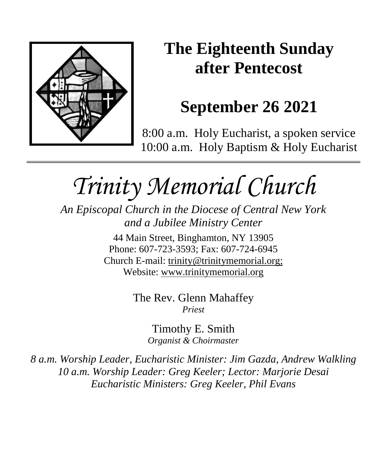

## **The Eighteenth Sunday after Pentecost**

## **September 26 2021**

8:00 a.m. Holy Eucharist, a spoken service 10:00 a.m. Holy Baptism & Holy Eucharist

# *Trinity Memorial Church*

*An Episcopal Church in the Diocese of Central New York and a Jubilee Ministry Center*

44 Main Street, Binghamton, NY 13905 Phone: 607-723-3593; Fax: 607-724-6945 Church E-mail: trinity@trinitymemorial.org; Website: www.trinitymemorial.org

> The Rev. Glenn Mahaffey *Priest*

> > Timothy E. Smith *Organist & Choirmaster*

*8 a.m. Worship Leader, Eucharistic Minister: Jim Gazda, Andrew Walkling 10 a.m. Worship Leader: Greg Keeler; Lector: Marjorie Desai Eucharistic Ministers: Greg Keeler, Phil Evans*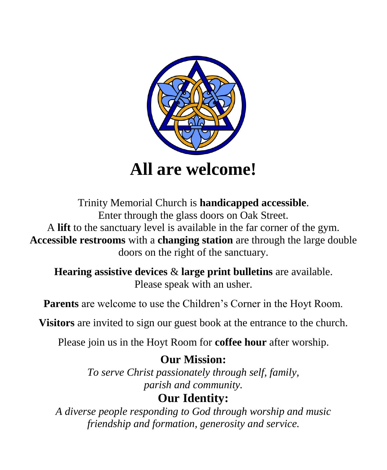

Trinity Memorial Church is **handicapped accessible**. Enter through the glass doors on Oak Street. A **lift** to the sanctuary level is available in the far corner of the gym. **Accessible restrooms** with a **changing station** are through the large double doors on the right of the sanctuary.

**Hearing assistive devices** & **large print bulletins** are available. Please speak with an usher.

**Parents** are welcome to use the Children's Corner in the Hoyt Room.

**Visitors** are invited to sign our guest book at the entrance to the church.

Please join us in the Hoyt Room for **coffee hour** after worship.

## **Our Mission:**

*To serve Christ passionately through self, family, parish and community.*

## **Our Identity:**

*A diverse people responding to God through worship and music friendship and formation, generosity and service.*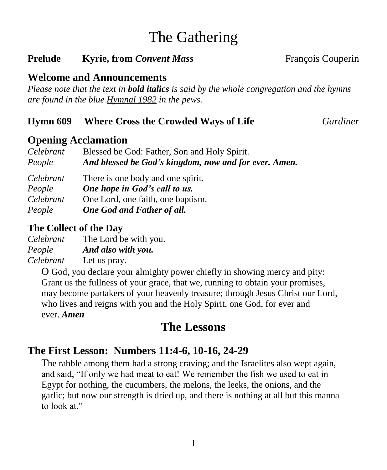## The Gathering

## **Prelude Kyrie, from** *Convent Mass* François Couperin

## **Welcome and Announcements**

*Please note that the text in bold italics is said by the whole congregation and the hymns are found in the blue Hymnal 1982 in the pews.*

## **Hymn 609 Where Cross the Crowded Ways of Life** *Gardiner*

## **Opening Acclamation**

| Celebrant | Blessed be God: Father, Son and Holy Spirit.          |
|-----------|-------------------------------------------------------|
| People    | And blessed be God's kingdom, now and for ever. Amen. |
| Celebrant | There is one body and one spirit.                     |
| People    | One hope in God's call to us.                         |
| Celebrant | One Lord, one faith, one baptism.                     |
| People    | <b>One God and Father of all.</b>                     |

## **The Collect of the Day**

*Celebrant* The Lord be with you. *People And also with you. Celebrant* Let us pray.

> O God, you declare your almighty power chiefly in showing mercy and pity: Grant us the fullness of your grace, that we, running to obtain your promises, may become partakers of your heavenly treasure; through Jesus Christ our Lord, who lives and reigns with you and the Holy Spirit, one God, for ever and ever. *Amen*

## **The Lessons**

## **The First Lesson: Numbers 11:4-6, 10-16, 24-29**

The rabble among them had a strong craving; and the Israelites also wept again, and said, "If only we had meat to eat! We remember the fish we used to eat in Egypt for nothing, the cucumbers, the melons, the leeks, the onions, and the garlic; but now our strength is dried up, and there is nothing at all but this manna to look at."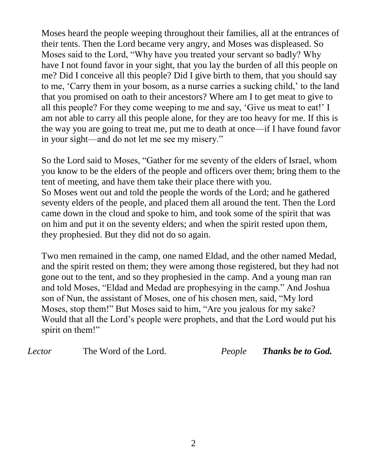Moses heard the people weeping throughout their families, all at the entrances of their tents. Then the Lord became very angry, and Moses was displeased. So Moses said to the Lord, "Why have you treated your servant so badly? Why have I not found favor in your sight, that you lay the burden of all this people on me? Did I conceive all this people? Did I give birth to them, that you should say to me, 'Carry them in your bosom, as a nurse carries a sucking child,' to the land that you promised on oath to their ancestors? Where am I to get meat to give to all this people? For they come weeping to me and say, 'Give us meat to eat!' I am not able to carry all this people alone, for they are too heavy for me. If this is the way you are going to treat me, put me to death at once—if I have found favor in your sight—and do not let me see my misery."

So the Lord said to Moses, "Gather for me seventy of the elders of Israel, whom you know to be the elders of the people and officers over them; bring them to the tent of meeting, and have them take their place there with you. So Moses went out and told the people the words of the Lord; and he gathered seventy elders of the people, and placed them all around the tent. Then the Lord came down in the cloud and spoke to him, and took some of the spirit that was on him and put it on the seventy elders; and when the spirit rested upon them, they prophesied. But they did not do so again.

Two men remained in the camp, one named Eldad, and the other named Medad, and the spirit rested on them; they were among those registered, but they had not gone out to the tent, and so they prophesied in the camp. And a young man ran and told Moses, "Eldad and Medad are prophesying in the camp." And Joshua son of Nun, the assistant of Moses, one of his chosen men, said, "My lord Moses, stop them!" But Moses said to him, "Are you jealous for my sake? Would that all the Lord's people were prophets, and that the Lord would put his spirit on them!"

| Lector | The Word of the Lord. | People | <b>Thanks be to God.</b> |
|--------|-----------------------|--------|--------------------------|
|--------|-----------------------|--------|--------------------------|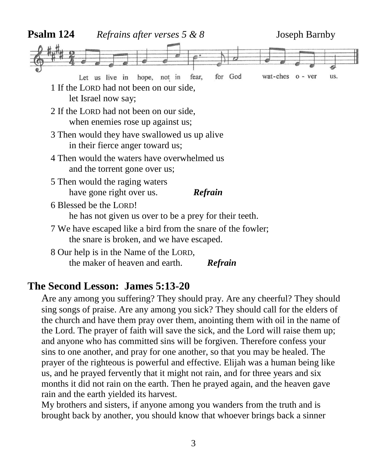

## **The Second Lesson: James 5:13-20**

Are any among you suffering? They should pray. Are any cheerful? They should sing songs of praise. Are any among you sick? They should call for the elders of the church and have them pray over them, anointing them with oil in the name of the Lord. The prayer of faith will save the sick, and the Lord will raise them up; and anyone who has committed sins will be forgiven. Therefore confess your sins to one another, and pray for one another, so that you may be healed. The prayer of the righteous is powerful and effective. Elijah was a human being like us, and he prayed fervently that it might not rain, and for three years and six months it did not rain on the earth. Then he prayed again, and the heaven gave rain and the earth yielded its harvest.

My brothers and sisters, if anyone among you wanders from the truth and is brought back by another, you should know that whoever brings back a sinner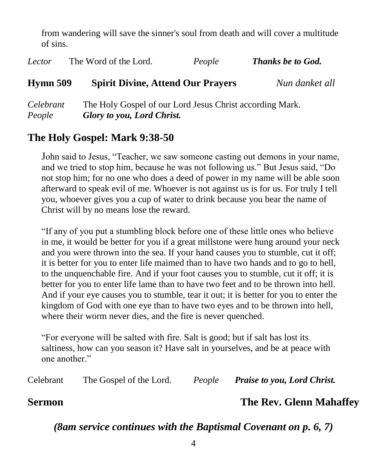from wandering will save the sinner's soul from death and will cover a multitude of sins.

| Lector              | The Word of the Lord.                                                                  | People | <b>Thanks be to God.</b> |
|---------------------|----------------------------------------------------------------------------------------|--------|--------------------------|
| Hymn 509            | <b>Spirit Divine, Attend Our Prayers</b>                                               |        | Nun danket all           |
| Celebrant<br>People | The Holy Gospel of our Lord Jesus Christ according Mark.<br>Glory to you, Lord Christ. |        |                          |

## **The Holy Gospel: Mark 9:38-50**

John said to Jesus, "Teacher, we saw someone casting out demons in your name, and we tried to stop him, because he was not following us." But Jesus said, "Do not stop him; for no one who does a deed of power in my name will be able soon afterward to speak evil of me. Whoever is not against us is for us. For truly I tell you, whoever gives you a cup of water to drink because you bear the name of Christ will by no means lose the reward.

"If any of you put a stumbling block before one of these little ones who believe in me, it would be better for you if a great millstone were hung around your neck and you were thrown into the sea. If your hand causes you to stumble, cut it off; it is better for you to enter life maimed than to have two hands and to go to hell, to the unquenchable fire. And if your foot causes you to stumble, cut it off; it is better for you to enter life lame than to have two feet and to be thrown into hell. And if your eye causes you to stumble, tear it out; it is better for you to enter the kingdom of God with one eye than to have two eyes and to be thrown into hell, where their worm never dies, and the fire is never quenched.

"For everyone will be salted with fire. Salt is good; but if salt has lost its saltiness, how can you season it? Have salt in yourselves, and be at peace with one another."

Celebrant The Gospel of the Lord. *People Praise to you, Lord Christ.*

## **Sermon The Rev. Glenn Mahaffey**

*(8am service continues with the Baptismal Covenant on p. 6, 7)*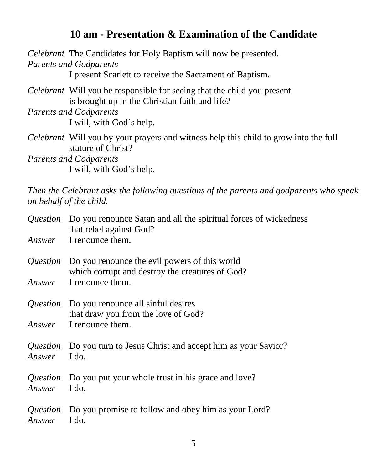## **10 am - Presentation & Examination of the Candidate**

*Celebrant* The Candidates for Holy Baptism will now be presented. *Parents and Godparents* I present Scarlett to receive the Sacrament of Baptism. *Celebrant* Will you be responsible for seeing that the child you present is brought up in the Christian faith and life? *Parents and Godparents* I will, with God's help. *Celebrant* Will you by your prayers and witness help this child to grow into the full stature of Christ? *Parents and Godparents* I will, with God's help.

*Then the Celebrant asks the following questions of the parents and godparents who speak on behalf of the child.*

|        | Question Do you renounce Satan and all the spiritual forces of wickedness<br>that rebel against God?<br><i>Answer</i> I renounce them. |
|--------|----------------------------------------------------------------------------------------------------------------------------------------|
|        | <i>Question</i> Do you renounce the evil powers of this world<br>which corrupt and destroy the creatures of God?                       |
|        | <i>Answer</i> I renounce them.                                                                                                         |
|        | <i>Question</i> Do you renounce all sinful desires<br>that draw you from the love of God?                                              |
|        | <i>Answer</i> I renounce them.                                                                                                         |
| Answer | <i>Question</i> Do you turn to Jesus Christ and accept him as your Savior?<br>I do.                                                    |
| Answer | <i>Question</i> Do you put your whole trust in his grace and love?<br>I do.                                                            |
| Answer | <i>Question</i> Do you promise to follow and obey him as your Lord?<br>I do.                                                           |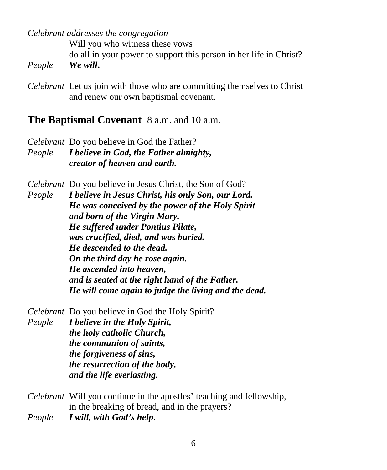*Celebrant addresses the congregation*

- Will you who witness these vows do all in your power to support this person in her life in Christ? *People We will***.**
- *Celebrant* Let us join with those who are committing themselves to Christ and renew our own baptismal covenant.

### **The Baptismal Covenant** 8 a.m. and 10 a.m.

- *Celebrant* Do you believe in God the Father?
- *People I believe in God, the Father almighty, creator of heaven and earth.*
- *Celebrant* Do you believe in Jesus Christ, the Son of God?

*People I believe in Jesus Christ, his only Son, our Lord. He was conceived by the power of the Holy Spirit and born of the Virgin Mary. He suffered under Pontius Pilate, was crucified, died, and was buried. He descended to the dead. On the third day he rose again. He ascended into heaven, and is seated at the right hand of the Father. He will come again to judge the living and the dead.*

*Celebrant* Do you believe in God the Holy Spirit?

*People I believe in the Holy Spirit, the holy catholic Church, the communion of saints, the forgiveness of sins, the resurrection of the body, and the life everlasting.*

- *Celebrant* Will you continue in the apostles' teaching and fellowship, in the breaking of bread, and in the prayers?
- *People I will, with God's help***.**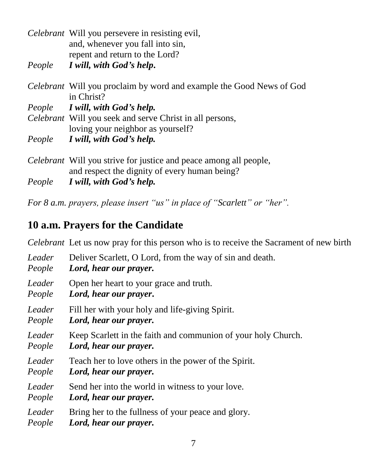| <i>Celebrant</i> Will you persevere in resisting evil,<br>and, whenever you fall into sin,<br>repent and return to the Lord? |
|------------------------------------------------------------------------------------------------------------------------------|
| People I will, with God's help.                                                                                              |
| <i>Celebrant</i> Will you proclaim by word and example the Good News of God<br>in Christ?                                    |
| People I will, with God's help.                                                                                              |
| <i>Celebrant</i> Will you seek and serve Christ in all persons,                                                              |
| loving your neighbor as yourself?                                                                                            |
| People I will, with God's help.                                                                                              |
| <i>Celebrant</i> Will you strive for justice and peace among all people,<br>and respect the dignity of every human being?    |
| People I will, with God's help.                                                                                              |

*For 8 a.m. prayers, please insert "us" in place of "Scarlett" or "her".*

## **10 a.m. Prayers for the Candidate**

*Celebrant* Let us now pray for this person who is to receive the Sacrament of new birth

| Leader | Deliver Scarlett, O Lord, from the way of sin and death.      |
|--------|---------------------------------------------------------------|
| People | Lord, hear our prayer.                                        |
| Leader | Open her heart to your grace and truth.                       |
| People | Lord, hear our prayer.                                        |
| Leader | Fill her with your holy and life-giving Spirit.               |
| People | Lord, hear our prayer.                                        |
| Leader | Keep Scarlett in the faith and communion of your holy Church. |
| People | Lord, hear our prayer.                                        |
| Leader | Teach her to love others in the power of the Spirit.          |
| People | Lord, hear our prayer.                                        |
| Leader | Send her into the world in witness to your love.              |
| People | Lord, hear our prayer.                                        |
| Leader | Bring her to the fullness of your peace and glory.            |
| People | Lord, hear our prayer.                                        |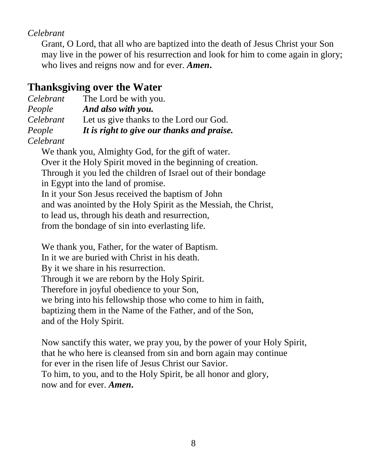## *Celebrant*

Grant, O Lord, that all who are baptized into the death of Jesus Christ your Son may live in the power of his resurrection and look for him to come again in glory; who lives and reigns now and for ever. *Amen***.**

## **Thanksgiving over the Water**

| Celebrant | The Lord be with you.                      |
|-----------|--------------------------------------------|
| People    | And also with you.                         |
| Celebrant | Let us give thanks to the Lord our God.    |
| People    | It is right to give our thanks and praise. |
| Celebrant |                                            |

We thank you, Almighty God, for the gift of water. Over it the Holy Spirit moved in the beginning of creation. Through it you led the children of Israel out of their bondage in Egypt into the land of promise. In it your Son Jesus received the baptism of John and was anointed by the Holy Spirit as the Messiah, the Christ, to lead us, through his death and resurrection, from the bondage of sin into everlasting life.

We thank you, Father, for the water of Baptism. In it we are buried with Christ in his death. By it we share in his resurrection. Through it we are reborn by the Holy Spirit. Therefore in joyful obedience to your Son, we bring into his fellowship those who come to him in faith, baptizing them in the Name of the Father, and of the Son, and of the Holy Spirit.

Now sanctify this water, we pray you, by the power of your Holy Spirit, that he who here is cleansed from sin and born again may continue for ever in the risen life of Jesus Christ our Savior. To him, to you, and to the Holy Spirit, be all honor and glory, now and for ever. *Amen***.**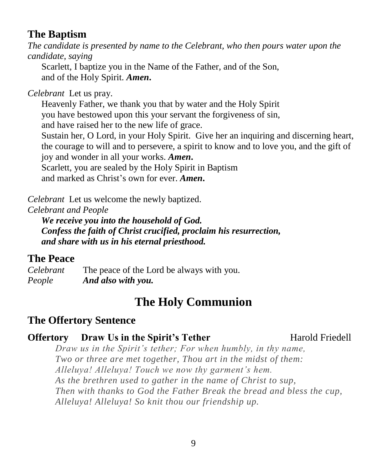## **The Baptism**

*The candidate is presented by name to the Celebrant, who then pours water upon the candidate, saying*

Scarlett, I baptize you in the Name of the Father, and of the Son, and of the Holy Spirit. *Amen***.**

## *Celebrant* Let us pray.

Heavenly Father, we thank you that by water and the Holy Spirit you have bestowed upon this your servant the forgiveness of sin, and have raised her to the new life of grace. Sustain her, O Lord, in your Holy Spirit. Give her an inquiring and discerning heart, the courage to will and to persevere, a spirit to know and to love you, and the gift of joy and wonder in all your works. *Amen***.** Scarlett, you are sealed by the Holy Spirit in Baptism and marked as Christ's own for ever. *Amen***.**

*Celebrant* Let us welcome the newly baptized.

*Celebrant and People*

*We receive you into the household of God. Confess the faith of Christ crucified, proclaim his resurrection, and share with us in his eternal priesthood.*

## **The Peace**

*Celebrant* The peace of the Lord be always with you. *People And also with you.*

## **The Holy Communion**

## **The Offertory Sentence**

## **Offertory Draw Us in the Spirit's Tether** Harold Friedell

*Draw us in the Spirit's tether; For when humbly, in thy name, Two or three are met together, Thou art in the midst of them: Alleluya! Alleluya! Touch we now thy garment's hem. As the brethren used to gather in the name of Christ to sup, Then with thanks to God the Father Break the bread and bless the cup, Alleluya! Alleluya! So knit thou our friendship up.*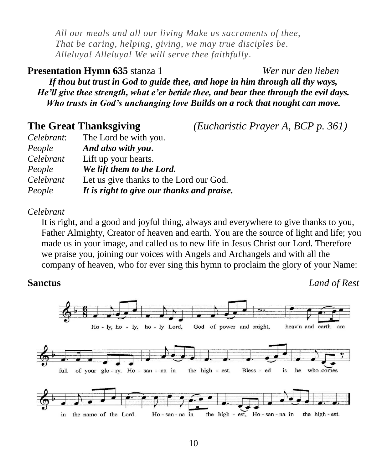*All our meals and all our living Make us sacraments of thee, That be caring, helping, giving, we may true disciples be. Alleluya! Alleluya! We will serve thee faithfully.*

**Presentation Hymn 635** stanza 1 *Wer nur den lieben If thou but trust in God to guide thee, and hope in him through all thy ways, He'll give thee strength, what e'er betide thee, and bear thee through the evil days. Who trusts in God's unchanging love Builds on a rock that nought can move.*

**The Great Thanksgiving** *(Eucharistic Prayer A, BCP p. 361)*

| Celebrant: | The Lord be with you.                      |
|------------|--------------------------------------------|
| People     | And also with you.                         |
| Celebrant  | Lift up your hearts.                       |
| People     | We lift them to the Lord.                  |
| Celebrant  | Let us give thanks to the Lord our God.    |
| People     | It is right to give our thanks and praise. |

### *Celebrant*

It is right, and a good and joyful thing, always and everywhere to give thanks to you, Father Almighty, Creator of heaven and earth. You are the source of light and life; you made us in your image, and called us to new life in Jesus Christ our Lord. Therefore we praise you, joining our voices with Angels and Archangels and with all the company of heaven, who for ever sing this hymn to proclaim the glory of your Name:

**Sanctus** *Land of Rest*

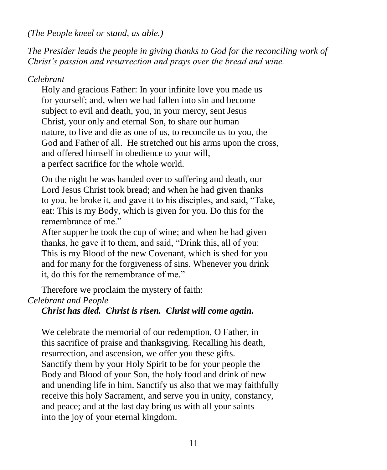*(The People kneel or stand, as able.)*

*The Presider leads the people in giving thanks to God for the reconciling work of Christ's passion and resurrection and prays over the bread and wine.*

## *Celebrant*

Holy and gracious Father: In your infinite love you made us for yourself; and, when we had fallen into sin and become subject to evil and death, you, in your mercy, sent Jesus Christ, your only and eternal Son, to share our human nature, to live and die as one of us, to reconcile us to you, the God and Father of all. He stretched out his arms upon the cross, and offered himself in obedience to your will, a perfect sacrifice for the whole world.

On the night he was handed over to suffering and death, our Lord Jesus Christ took bread; and when he had given thanks to you, he broke it, and gave it to his disciples, and said, "Take, eat: This is my Body, which is given for you. Do this for the remembrance of me."

After supper he took the cup of wine; and when he had given thanks, he gave it to them, and said, "Drink this, all of you: This is my Blood of the new Covenant, which is shed for you and for many for the forgiveness of sins. Whenever you drink it, do this for the remembrance of me."

Therefore we proclaim the mystery of faith:

## *Celebrant and People*

*Christ has died. Christ is risen. Christ will come again.*

We celebrate the memorial of our redemption, O Father, in this sacrifice of praise and thanksgiving. Recalling his death, resurrection, and ascension, we offer you these gifts. Sanctify them by your Holy Spirit to be for your people the Body and Blood of your Son, the holy food and drink of new and unending life in him. Sanctify us also that we may faithfully receive this holy Sacrament, and serve you in unity, constancy, and peace; and at the last day bring us with all your saints into the joy of your eternal kingdom.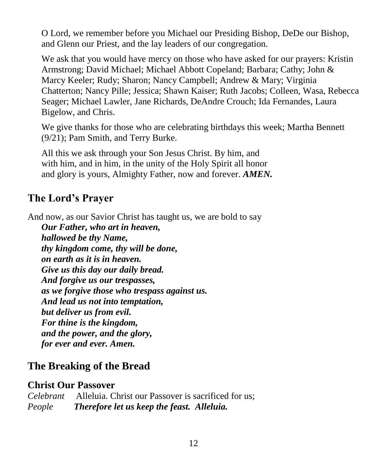O Lord, we remember before you Michael our Presiding Bishop, DeDe our Bishop, and Glenn our Priest, and the lay leaders of our congregation.

We ask that you would have mercy on those who have asked for our prayers: Kristin Armstrong; David Michael; Michael Abbott Copeland; Barbara; Cathy; John & Marcy Keeler; Rudy; Sharon; Nancy Campbell; Andrew & Mary; Virginia Chatterton; Nancy Pille; Jessica; Shawn Kaiser; Ruth Jacobs; Colleen, Wasa, Rebecca Seager; Michael Lawler, Jane Richards, DeAndre Crouch; Ida Fernandes, Laura Bigelow, and Chris.

We give thanks for those who are celebrating birthdays this week; Martha Bennett (9/21); Pam Smith, and Terry Burke.

All this we ask through your Son Jesus Christ. By him, and with him, and in him, in the unity of the Holy Spirit all honor and glory is yours, Almighty Father, now and forever. *AMEN.*

## **The Lord's Prayer**

And now, as our Savior Christ has taught us, we are bold to say

*Our Father, who art in heaven, hallowed be thy Name, thy kingdom come, thy will be done, on earth as it is in heaven. Give us this day our daily bread. And forgive us our trespasses, as we forgive those who trespass against us. And lead us not into temptation, but deliver us from evil. For thine is the kingdom, and the power, and the glory, for ever and ever. Amen.*

## **The Breaking of the Bread**

## **Christ Our Passover**

*Celebrant* Alleluia. Christ our Passover is sacrificed for us; *People Therefore let us keep the feast. Alleluia.*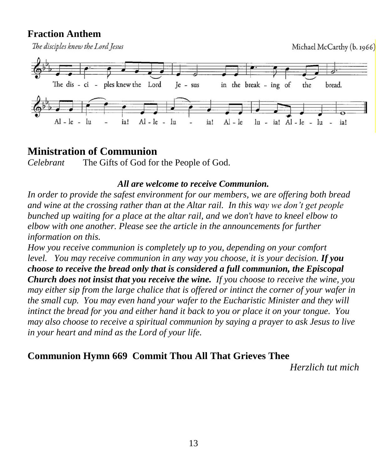## **Fraction Anthem**

The disciples knew the Lord Jesus The dis - ci - ples knew the Lord  $Ie - sus$ in the break - ing of the bread.  $Al - le - lu$  $Al - le - lu$ ia! ia!  $Al - le$  $\ln$  - ia! Al - le -  $\ln$  ia!

## **Ministration of Communion**

*Celebrant* The Gifts of God for the People of God.

### *All are welcome to receive Communion.*

*In order to provide the safest environment for our members, we are offering both bread and wine at the crossing rather than at the Altar rail. In this way we don't get people bunched up waiting for a place at the altar rail, and we don't have to kneel elbow to elbow with one another. Please see the article in the announcements for further information on this.*

*How you receive communion is completely up to you, depending on your comfort level. You may receive communion in any way you choose, it is your decision. If you choose to receive the bread only that is considered a full communion, the Episcopal Church does not insist that you receive the wine. If you choose to receive the wine, you may either sip from the large chalice that is offered or intinct the corner of your wafer in the small cup. You may even hand your wafer to the Eucharistic Minister and they will intinct the bread for you and either hand it back to you or place it on your tongue. You may also choose to receive a spiritual communion by saying a prayer to ask Jesus to live in your heart and mind as the Lord of your life.*

## **Communion Hymn 669 Commit Thou All That Grieves Thee**

*Herzlich tut mich*

Michael McCarthy (b. 1966)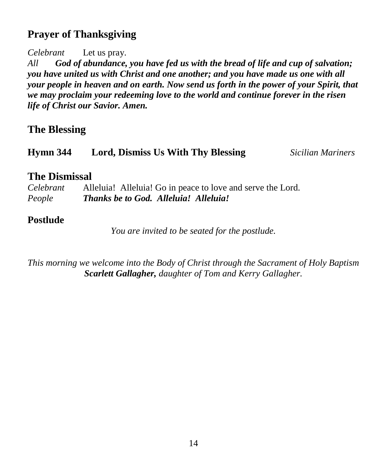## **Prayer of Thanksgiving**

*Celebrant* Let us pray. *All God of abundance, you have fed us with the bread of life and cup of salvation; you have united us with Christ and one another; and you have made us one with all your people in heaven and on earth. Now send us forth in the power of your Spirit, that we may proclaim your redeeming love to the world and continue forever in the risen life of Christ our Savior. Amen.*

## **The Blessing**

| <b>Hymn 344</b> | Lord, Dismiss Us With Thy Blessing | <b>Sicilian Mariners</b> |
|-----------------|------------------------------------|--------------------------|
|                 |                                    |                          |

## **The Dismissal**

| Celebrant | Alleluia! Alleluia! Go in peace to love and serve the Lord. |
|-----------|-------------------------------------------------------------|
| People    | Thanks be to God. Alleluia! Alleluia!                       |

## **Postlude**

*You are invited to be seated for the postlude.*

*This morning we welcome into the Body of Christ through the Sacrament of Holy Baptism Scarlett Gallagher, daughter of Tom and Kerry Gallagher.*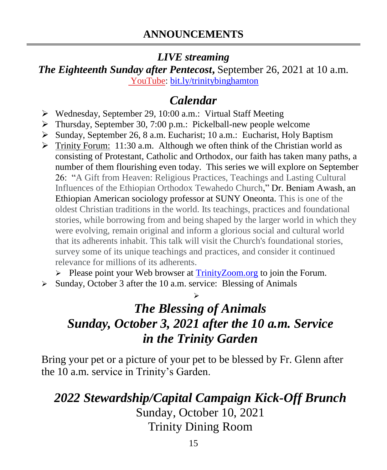## *LIVE streaming*

*The Eighteenth Sunday after Pentecost***,** September 26, 2021 at 10 a.m. YouTube: bit.ly/trinitybinghamton

## *Calendar*

- ➢ Wednesday, September 29, 10:00 a.m.: Virtual Staff Meeting
- ➢ Thursday, September 30, 7:00 p.m.: Pickelball-new people welcome
- ➢ Sunday, September 26, 8 a.m. Eucharist; 10 a.m.: Eucharist, Holy Baptism
- $\triangleright$  Trinity Forum: 11:30 a.m. Although we often think of the Christian world as consisting of Protestant, Catholic and Orthodox, our faith has taken many paths, a number of them flourishing even today. This series we will explore on September 26: "A Gift from Heaven: Religious Practices, Teachings and Lasting Cultural Influences of the Ethiopian Orthodox Tewahedo Church," Dr. Beniam Awash, an Ethiopian American sociology professor at SUNY Oneonta. This is one of the oldest Christian traditions in the world. Its teachings, practices and foundational stories, while borrowing from and being shaped by the larger world in which they were evolving, remain original and inform a glorious social and cultural world that its adherents inhabit. This talk will visit the Church's foundational stories, survey some of its unique teachings and practices, and consider it continued relevance for millions of its adherents.
	- ➢ Please point your Web browser at TrinityZoom.org to join the Forum.
- ➢ Sunday, October 3 after the 10 a.m. service: Blessing of Animals

## ➢ *The Blessing of Animals Sunday, October 3, 2021 after the 10 a.m. Service in the Trinity Garden*

Bring your pet or a picture of your pet to be blessed by Fr. Glenn after the 10 a.m. service in Trinity's Garden.

## *2022 Stewardship/Capital Campaign Kick-Off Brunch* Sunday, October 10, 2021 Trinity Dining Room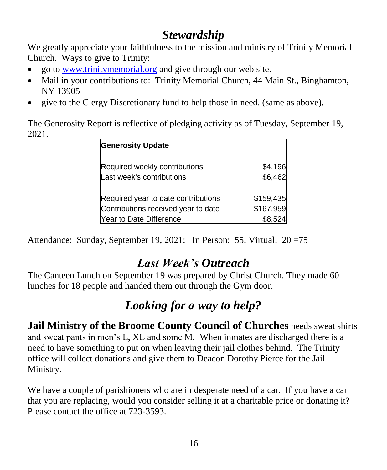## *Stewardship*

We greatly appreciate your faithfulness to the mission and ministry of Trinity Memorial Church. Ways to give to Trinity:

- go to www.trinitymemorial.org and give through our web site.
- Mail in your contributions to: Trinity Memorial Church, 44 Main St., Binghamton, NY 13905
- give to the Clergy Discretionary fund to help those in need. (same as above).

The Generosity Report is reflective of pledging activity as of Tuesday, September 19, 2021.

| <b>Generosity Update</b>            |           |
|-------------------------------------|-----------|
| Required weekly contributions       | \$4,196   |
| Last week's contributions           | \$6,462   |
| Required year to date contributions | \$159,435 |
| Contributions received year to date | \$167,959 |
| Year to Date Difference             | \$8,524   |

Attendance: Sunday, September 19, 2021: In Person: 55; Virtual: 20 =75

## *Last Week's Outreach*

The Canteen Lunch on September 19 was prepared by Christ Church. They made 60 lunches for 18 people and handed them out through the Gym door.

## *Looking for a way to help?*

**Jail Ministry of the Broome County Council of Churches** needs sweat shirts and sweat pants in men's L, XL and some M. When inmates are discharged there is a need to have something to put on when leaving their jail clothes behind. The Trinity office will collect donations and give them to Deacon Dorothy Pierce for the Jail Ministry.

We have a couple of parishioners who are in desperate need of a car. If you have a car that you are replacing, would you consider selling it at a charitable price or donating it? Please contact the office at 723-3593.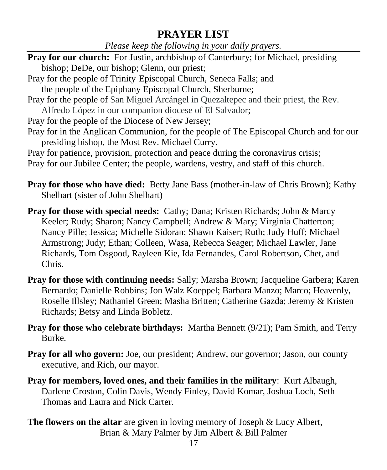## **PRAYER LIST**

*Please keep the following in your daily prayers.*

- **Pray for our church:** For Justin, archbishop of Canterbury; for Michael, presiding bishop; DeDe, our bishop; Glenn, our priest; Pray for the people of Trinity Episcopal Church, Seneca Falls; and the people of the Epiphany Episcopal Church, Sherburne; Pray for the people of San Miguel Arcángel in Quezaltepec and their priest, the Rev. Alfredo López in our companion diocese of El Salvador; Pray for the people of the Diocese of New Jersey; Pray for in the Anglican Communion, for the people of The Episcopal Church and for our presiding bishop, the Most Rev. Michael Curry. Pray for patience, provision, protection and peace during the coronavirus crisis; Pray for our Jubilee Center; the people, wardens, vestry, and staff of this church.
- **Pray for those who have died:** Betty Jane Bass (mother-in-law of Chris Brown); Kathy Shelhart (sister of John Shelhart)
- **Pray for those with special needs:** Cathy; Dana; Kristen Richards; John & Marcy Keeler; Rudy; Sharon; Nancy Campbell; Andrew & Mary; Virginia Chatterton; Nancy Pille; Jessica; Michelle Sidoran; Shawn Kaiser; Ruth; Judy Huff; Michael Armstrong; Judy; Ethan; Colleen, Wasa, Rebecca Seager; Michael Lawler, Jane Richards, Tom Osgood, Rayleen Kie, Ida Fernandes, Carol Robertson, Chet, and Chris.
- **Pray for those with continuing needs:** Sally; Marsha Brown; Jacqueline Garbera; Karen Bernardo; Danielle Robbins; Jon Walz Koeppel; Barbara Manzo; Marco; Heavenly, Roselle Illsley; Nathaniel Green; Masha Britten; Catherine Gazda; Jeremy & Kristen Richards; Betsy and Linda Bobletz.
- **Pray for those who celebrate birthdays:** Martha Bennett (9/21); Pam Smith, and Terry Burke.
- **Pray for all who govern:** Joe, our president; Andrew, our governor; Jason, our county executive, and Rich, our mayor.
- **Pray for members, loved ones, and their families in the military**: Kurt Albaugh, Darlene Croston, Colin Davis, Wendy Finley, David Komar, Joshua Loch, Seth Thomas and Laura and Nick Carter.
- **The flowers on the altar** are given in loving memory of Joseph & Lucy Albert, Brian & Mary Palmer by Jim Albert & Bill Palmer